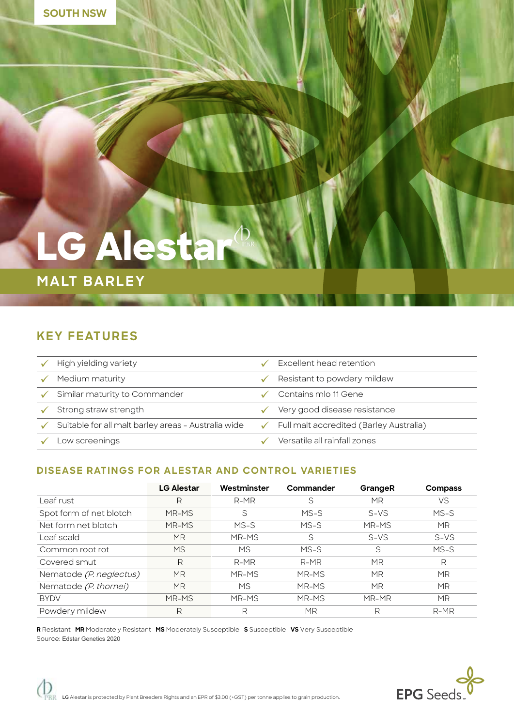# **LG Alesta**

## **MALT BARLEY**

## **KEY FEATURES**

| High yielding variety                               | Excellent head retention                       |
|-----------------------------------------------------|------------------------------------------------|
| Medium maturity                                     | Resistant to powdery mildew                    |
| Similar maturity to Commander                       | Contains mlo 11 Gene                           |
| Strong straw strength                               | Very good disease resistance                   |
| Suitable for all malt barley areas - Australia wide | <b>Full malt accredited (Barley Australia)</b> |
| _ow screenings                                      | Versatile all rainfall zones                   |

#### **DISEASE RATINGS FOR ALESTAR AND CONTROL VARIETIES**

|                         | <b>LG Alestar</b> | Westminster | Commander | GrangeR   | <b>Compass</b> |
|-------------------------|-------------------|-------------|-----------|-----------|----------------|
| Leaf rust               | R                 | $R-MR$      | S         | MR        | VS             |
| Spot form of net blotch | MR-MS             | S           | $MS-S$    | $S-VS$    | $MS-S$         |
| Net form net blotch     | MR-MS             | $MS-S$      | $MS-S$    | MR-MS     | <b>MR</b>      |
| Leaf scald              | ΜR                | MR-MS       | S         | $S-VS$    | $S-VS$         |
| Common root rot         | <b>MS</b>         | МS          | $MS-S$    | S         | $MS-S$         |
| Covered smut            | R                 | $R-MR$      | $R-MR$    | MR        | R              |
| Nematode (P. neglectus) | <b>MR</b>         | MR-MS       | MR-MS     | MR        | MR             |
| Nematode (P. thornei)   | <b>MR</b>         | <b>MS</b>   | MR-MS     | <b>MR</b> | <b>MR</b>      |
| <b>BYDV</b>             | MR-MS             | MR-MS       | MR-MS     | MR-MR     | MR             |
| Powdery mildew          | R                 | R           | MR        | R         | $R-MR$         |

**R** Resistant **MR** Moderately Resistant **MS** Moderately Susceptible **S** Susceptible **VS** Very Susceptible Source: Edstar Genetics 2020